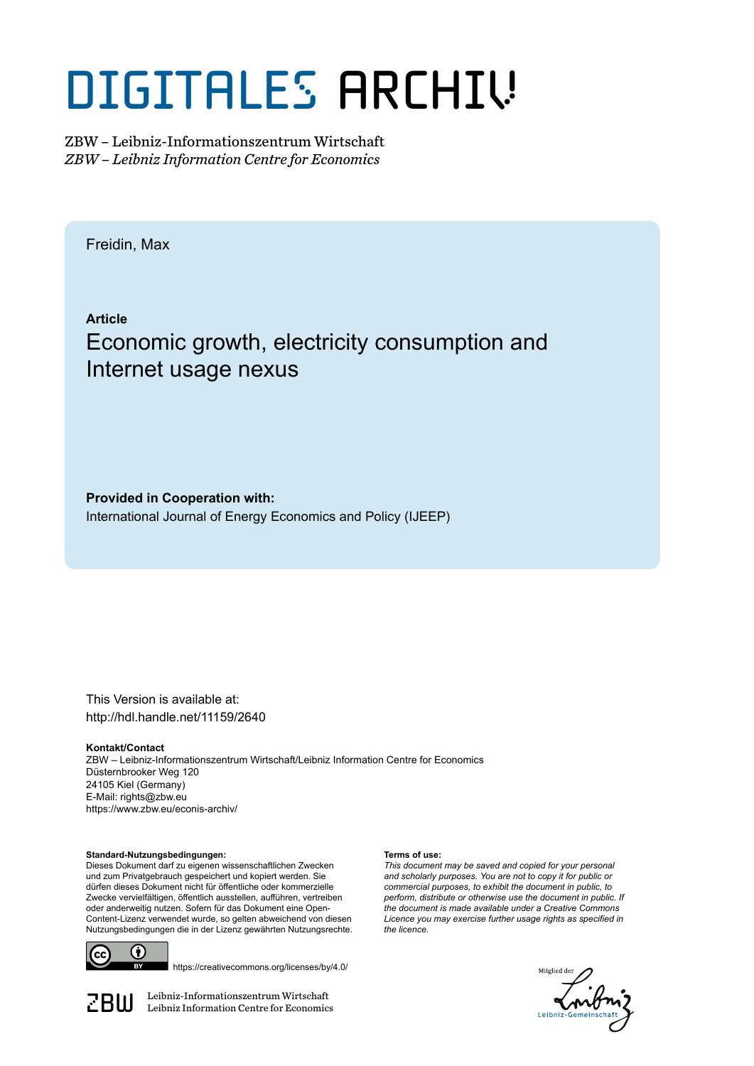# DIGITALES ARCHIV

ZBW – Leibniz-Informationszentrum Wirtschaft *ZBW – Leibniz Information Centre for Economics*

Freidin, Max

**Article** Economic growth, electricity consumption and Internet usage nexus

**Provided in Cooperation with:** International Journal of Energy Economics and Policy (IJEEP)

This Version is available at: http://hdl.handle.net/11159/2640

**Kontakt/Contact** ZBW – Leibniz-Informationszentrum Wirtschaft/Leibniz Information Centre for Economics Düsternbrooker Weg 120 24105 Kiel (Germany) E-Mail: rights@zbw.eu https://www.zbw.eu/econis-archiv/

**Standard-Nutzungsbedingungen:**

Dieses Dokument darf zu eigenen wissenschaftlichen Zwecken und zum Privatgebrauch gespeichert und kopiert werden. Sie dürfen dieses Dokument nicht für öffentliche oder kommerzielle Zwecke vervielfältigen, öffentlich ausstellen, aufführen, vertreiben oder anderweitig nutzen. Sofern für das Dokument eine Open-Content-Lizenz verwendet wurde, so gelten abweichend von diesen Nutzungsbedingungen die in der Lizenz gewährten Nutzungsrechte.



https://creativecommons.org/licenses/by/4.0/

 $\mathbb{Z} \text{B} \text{U}$  Leibniz-Informationszentrum Wirtschaft

#### **Terms of use:**

*This document may be saved and copied for your personal and scholarly purposes. You are not to copy it for public or commercial purposes, to exhibit the document in public, to perform, distribute or otherwise use the document in public. If the document is made available under a Creative Commons Licence you may exercise further usage rights as specified in the licence.*

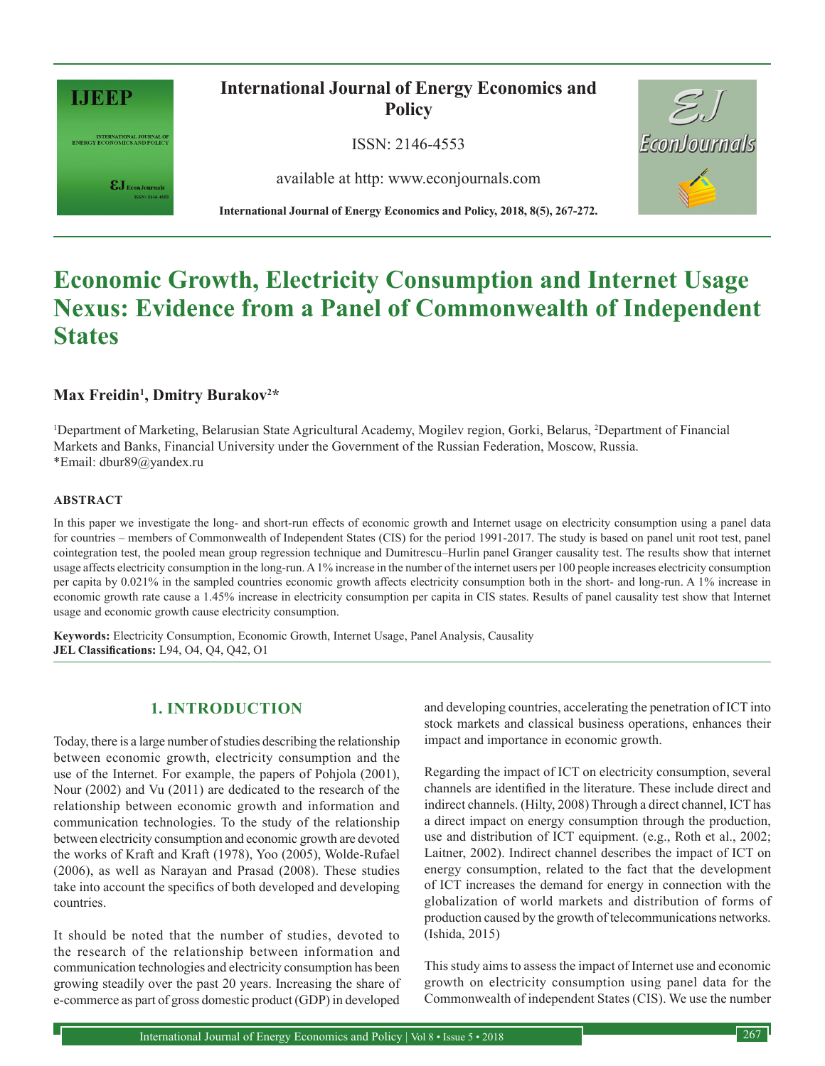

INTERNATIONAL JOURNAL OF RIVERGY ECONOMICS AND POLICY

 $\epsilon J_{\hbox{\tiny\sc EconJournals}}$ 

**International Journal of Energy Economics and Policy**

ISSN: 2146-4553

available at http: www.econjournals.com



**International Journal of Energy Economics and Policy, 2018, 8(5), 267-272.**

# **Economic Growth, Electricity Consumption and Internet Usage Nexus: Evidence from a Panel of Commonwealth of Independent States**

# **Max Freidin1 , Dmitry Burakov2 \***

<sup>1</sup>Department of Marketing, Belarusian State Agricultural Academy, Mogilev region, Gorki, Belarus, <sup>2</sup>Department of Financial Markets and Banks, Financial University under the Government of the Russian Federation, Moscow, Russia. \*Email: dbur89@yandex.ru

#### **ABSTRACT**

In this paper we investigate the long- and short-run effects of economic growth and Internet usage on electricity consumption using a panel data for countries – members of Commonwealth of Independent States (CIS) for the period 1991-2017. The study is based on panel unit root test, panel cointegration test, the pooled mean group regression technique and Dumitrescu–Hurlin panel Granger causality test. The results show that internet usage affects electricity consumption in the long-run. A1% increase in the number of the internet users per 100 people increases electricity consumption per capita by 0.021% in the sampled countries economic growth affects electricity consumption both in the short- and long-run. A 1% increase in economic growth rate cause a 1.45% increase in electricity consumption per capita in CIS states. Results of panel causality test show that Internet usage and economic growth cause electricity consumption.

**Keywords:** Electricity Consumption, Economic Growth, Internet Usage, Panel Analysis, Causality **JEL Classifications:** L94, O4, Q4, Q42, O1

# **1. INTRODUCTION**

Today, there is a large number of studies describing the relationship between economic growth, electricity consumption and the use of the Internet. For example, the papers of Pohjola (2001), Nour (2002) and Vu (2011) are dedicated to the research of the relationship between economic growth and information and communication technologies. To the study of the relationship between electricity consumption and economic growth are devoted the works of Kraft and Kraft (1978), Yoo (2005), Wolde-Rufael (2006), as well as Narayan and Prasad (2008). These studies take into account the specifics of both developed and developing countries.

It should be noted that the number of studies, devoted to the research of the relationship between information and communication technologies and electricity consumption has been growing steadily over the past 20 years. Increasing the share of e-commerce as part of gross domestic product (GDP) in developed and developing countries, accelerating the penetration of ICT into stock markets and classical business operations, enhances their impact and importance in economic growth.

Regarding the impact of ICT on electricity consumption, several channels are identified in the literature. These include direct and indirect channels. (Hilty, 2008) Through a direct channel, ICT has a direct impact on energy consumption through the production, use and distribution of ICT equipment. (e.g., Roth et al., 2002; Laitner, 2002). Indirect channel describes the impact of ICT on energy consumption, related to the fact that the development of ICT increases the demand for energy in connection with the globalization of world markets and distribution of forms of production caused by the growth of telecommunications networks. (Ishida, 2015)

This study aims to assess the impact of Internet use and economic growth on electricity consumption using panel data for the Commonwealth of independent States (CIS). We use the number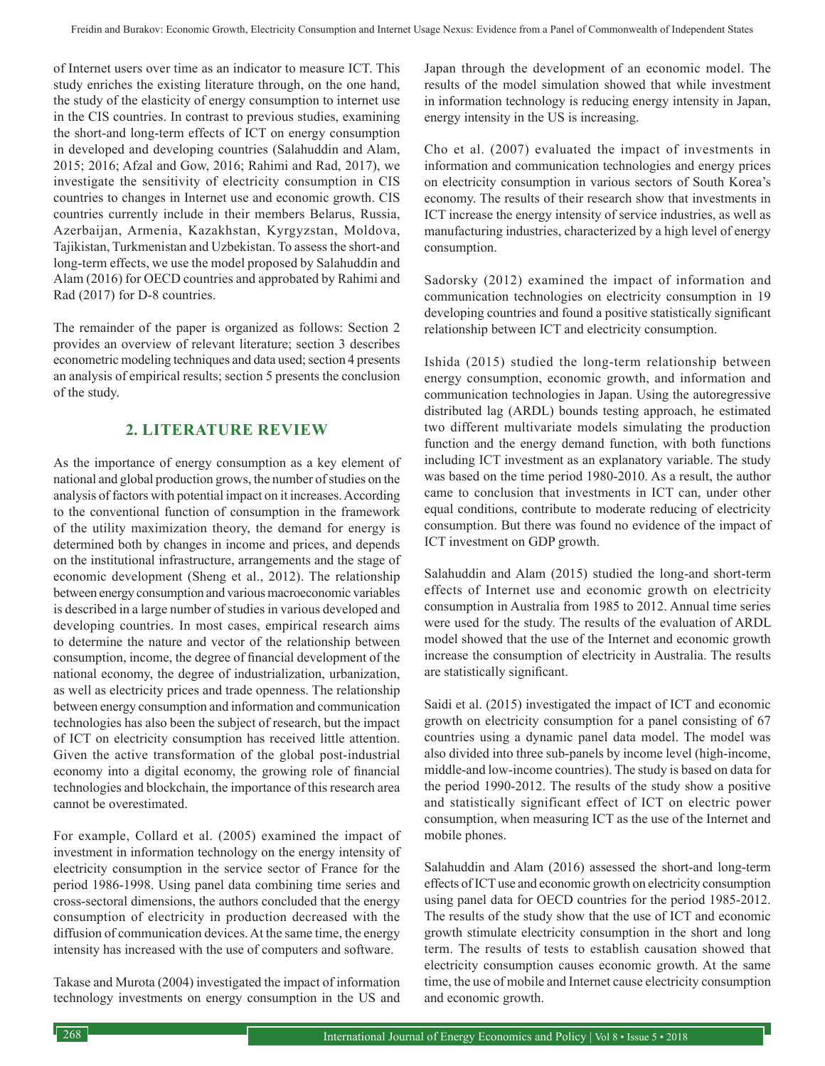of Internet users over time as an indicator to measure ICT. This study enriches the existing literature through, on the one hand, the study of the elasticity of energy consumption to internet use in the CIS countries. In contrast to previous studies, examining the short-and long-term effects of ICT on energy consumption in developed and developing countries (Salahuddin and Alam, 2015; 2016; Afzal and Gow, 2016; Rahimi and Rad, 2017), we investigate the sensitivity of electricity consumption in CIS countries to changes in Internet use and economic growth. CIS countries currently include in their members Belarus, Russia, Azerbaijan, Armenia, Kazakhstan, Kyrgyzstan, Moldova, Tajikistan, Turkmenistan and Uzbekistan. To assess the short-and long-term effects, we use the model proposed by Salahuddin and Alam (2016) for OECD countries and approbated by Rahimi and Rad (2017) for D-8 countries.

The remainder of the paper is organized as follows: Section 2 provides an overview of relevant literature; section 3 describes econometric modeling techniques and data used; section 4 presents an analysis of empirical results; section 5 presents the conclusion of the study.

# **2. LITERATURE REVIEW**

As the importance of energy consumption as a key element of national and global production grows, the number of studies on the analysis of factors with potential impact on it increases. According to the conventional function of consumption in the framework of the utility maximization theory, the demand for energy is determined both by changes in income and prices, and depends on the institutional infrastructure, arrangements and the stage of economic development (Sheng et al., 2012). The relationship between energy consumption and various macroeconomic variables is described in a large number of studies in various developed and developing countries. In most cases, empirical research aims to determine the nature and vector of the relationship between consumption, income, the degree of financial development of the national economy, the degree of industrialization, urbanization, as well as electricity prices and trade openness. The relationship between energy consumption and information and communication technologies has also been the subject of research, but the impact of ICT on electricity consumption has received little attention. Given the active transformation of the global post-industrial economy into a digital economy, the growing role of financial technologies and blockchain, the importance of this research area cannot be overestimated.

For example, Collard et al. (2005) examined the impact of investment in information technology on the energy intensity of electricity consumption in the service sector of France for the period 1986-1998. Using panel data combining time series and cross-sectoral dimensions, the authors concluded that the energy consumption of electricity in production decreased with the diffusion of communication devices. At the same time, the energy intensity has increased with the use of computers and software.

Takase and Murota (2004) investigated the impact of information technology investments on energy consumption in the US and Japan through the development of an economic model. The results of the model simulation showed that while investment in information technology is reducing energy intensity in Japan, energy intensity in the US is increasing.

Cho et al. (2007) evaluated the impact of investments in information and communication technologies and energy prices on electricity consumption in various sectors of South Korea's economy. The results of their research show that investments in ICT increase the energy intensity of service industries, as well as manufacturing industries, characterized by a high level of energy consumption.

Sadorsky (2012) examined the impact of information and communication technologies on electricity consumption in 19 developing countries and found a positive statistically significant relationship between ICT and electricity consumption.

Ishida (2015) studied the long-term relationship between energy consumption, economic growth, and information and communication technologies in Japan. Using the autoregressive distributed lag (ARDL) bounds testing approach, he estimated two different multivariate models simulating the production function and the energy demand function, with both functions including ICT investment as an explanatory variable. The study was based on the time period 1980-2010. As a result, the author came to conclusion that investments in ICT can, under other equal conditions, contribute to moderate reducing of electricity consumption. But there was found no evidence of the impact of ICT investment on GDP growth.

Salahuddin and Alam (2015) studied the long-and short-term effects of Internet use and economic growth on electricity consumption in Australia from 1985 to 2012. Annual time series were used for the study. The results of the evaluation of ARDL model showed that the use of the Internet and economic growth increase the consumption of electricity in Australia. The results are statistically significant.

Saidi et al. (2015) investigated the impact of ICT and economic growth on electricity consumption for a panel consisting of 67 countries using a dynamic panel data model. The model was also divided into three sub-panels by income level (high-income, middle-and low-income countries). The study is based on data for the period 1990-2012. The results of the study show a positive and statistically significant effect of ICT on electric power consumption, when measuring ICT as the use of the Internet and mobile phones.

Salahuddin and Alam (2016) assessed the short-and long-term effects of ICT use and economic growth on electricity consumption using panel data for OECD countries for the period 1985-2012. The results of the study show that the use of ICT and economic growth stimulate electricity consumption in the short and long term. The results of tests to establish causation showed that electricity consumption causes economic growth. At the same time, the use of mobile and Internet cause electricity consumption and economic growth.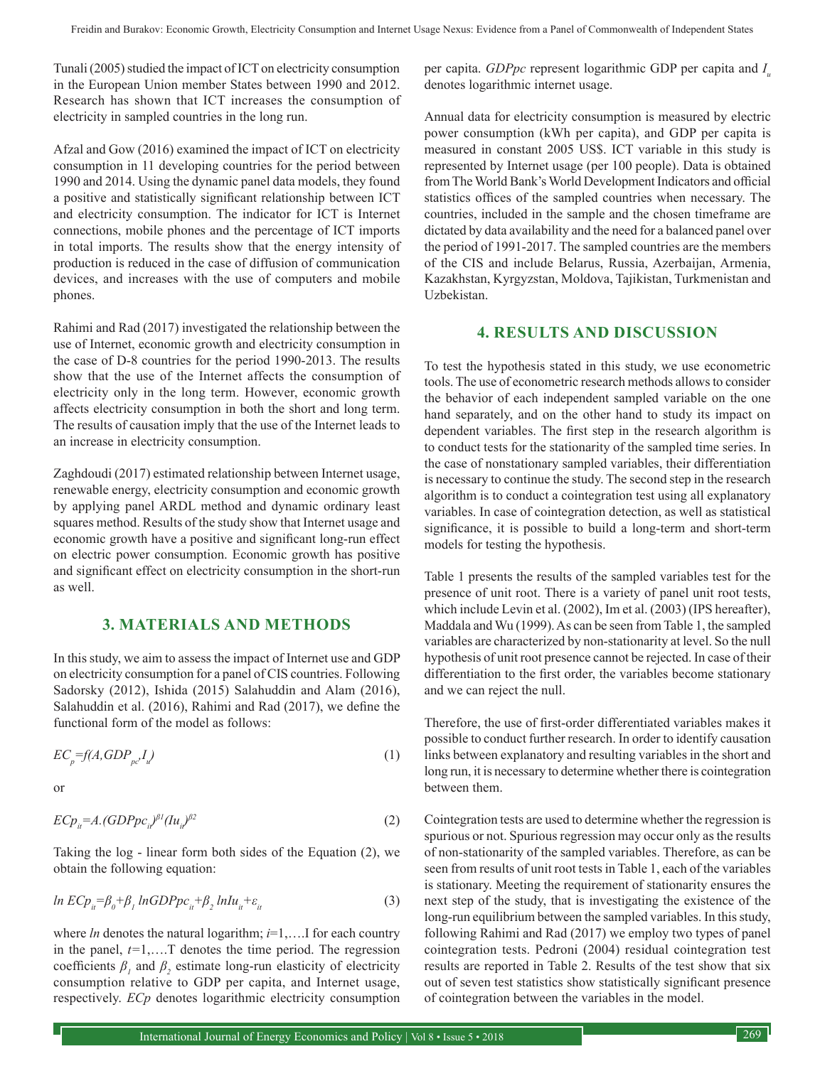Tunali (2005) studied the impact of ICT on electricity consumption in the European Union member States between 1990 and 2012. Research has shown that ICT increases the consumption of electricity in sampled countries in the long run.

Afzal and Gow (2016) examined the impact of ICT on electricity consumption in 11 developing countries for the period between 1990 and 2014. Using the dynamic panel data models, they found a positive and statistically significant relationship between ICT and electricity consumption. The indicator for ICT is Internet connections, mobile phones and the percentage of ICT imports in total imports. The results show that the energy intensity of production is reduced in the case of diffusion of communication devices, and increases with the use of computers and mobile phones.

Rahimi and Rad (2017) investigated the relationship between the use of Internet, economic growth and electricity consumption in the case of D-8 countries for the period 1990-2013. The results show that the use of the Internet affects the consumption of electricity only in the long term. However, economic growth affects electricity consumption in both the short and long term. The results of causation imply that the use of the Internet leads to an increase in electricity consumption.

Zaghdoudi (2017) estimated relationship between Internet usage, renewable energy, electricity consumption and economic growth by applying panel ARDL method and dynamic ordinary least squares method. Results of the study show that Internet usage and economic growth have a positive and significant long-run effect on electric power consumption. Economic growth has positive and significant effect on electricity consumption in the short-run as well.

## **3. MATERIALS AND METHODS**

In this study, we aim to assess the impact of Internet use and GDP on electricity consumption for a panel of CIS countries. Following Sadorsky (2012), Ishida (2015) Salahuddin and Alam (2016), Salahuddin et al. (2016), Rahimi and Rad (2017), we define the functional form of the model as follows:

$$
EC_{p} = f(A, GDP_{pc}I_{u})
$$
\n<sup>(1)</sup>

or

$$
E C p_{ii} = A. (G D P p c_{ii})^{\beta} (I u_{ii})^{\beta 2}
$$
 (2)

Taking the log - linear form both sides of the Equation (2), we obtain the following equation:

$$
ln ECp_{ii} = \beta_0 + \beta_1 ln GDPpc_{ii} + \beta_2 ln Iu_{ii} + \varepsilon_{ii}
$$
\n(3)

where *ln* denotes the natural logarithm; *i*=1,….I for each country in the panel, *t=*1,….T denotes the time period. The regression coefficients  $\beta_1$  and  $\beta_2$  estimate long-run elasticity of electricity consumption relative to GDP per capita, and Internet usage, respectively. *ECp* denotes logarithmic electricity consumption

per capita. *GDPpc* represent logarithmic GDP per capita and *Iu* denotes logarithmic internet usage.

Annual data for electricity consumption is measured by electric power consumption (kWh per capita), and GDP per capita is measured in constant 2005 US\$. ICT variable in this study is represented by Internet usage (per 100 people). Data is obtained from The World Bank's World Development Indicators and official statistics offices of the sampled countries when necessary. The countries, included in the sample and the chosen timeframe are dictated by data availability and the need for a balanced panel over the period of 1991-2017. The sampled countries are the members of the CIS and include Belarus, Russia, Azerbaijan, Armenia, Kazakhstan, Kyrgyzstan, Moldova, Tajikistan, Turkmenistan and Uzbekistan.

# **4. RESULTS AND DISCUSSION**

To test the hypothesis stated in this study, we use econometric tools. The use of econometric research methods allows to consider the behavior of each independent sampled variable on the one hand separately, and on the other hand to study its impact on dependent variables. The first step in the research algorithm is to conduct tests for the stationarity of the sampled time series. In the case of nonstationary sampled variables, their differentiation is necessary to continue the study. The second step in the research algorithm is to conduct a cointegration test using all explanatory variables. In case of cointegration detection, as well as statistical significance, it is possible to build a long-term and short-term models for testing the hypothesis.

Table 1 presents the results of the sampled variables test for the presence of unit root. There is a variety of panel unit root tests, which include Levin et al. (2002), Im et al. (2003) (IPS hereafter), Maddala and Wu (1999). As can be seen from Table 1, the sampled variables are characterized by non-stationarity at level. So the null hypothesis of unit root presence cannot be rejected. In case of their differentiation to the first order, the variables become stationary and we can reject the null.

Therefore, the use of first-order differentiated variables makes it possible to conduct further research. In order to identify causation links between explanatory and resulting variables in the short and long run, it is necessary to determine whether there is cointegration between them.

Cointegration tests are used to determine whether the regression is spurious or not. Spurious regression may occur only as the results of non-stationarity of the sampled variables. Therefore, as can be seen from results of unit root tests in Table 1, each of the variables is stationary. Meeting the requirement of stationarity ensures the next step of the study, that is investigating the existence of the long-run equilibrium between the sampled variables. In this study, following Rahimi and Rad (2017) we employ two types of panel cointegration tests. Pedroni (2004) residual cointegration test results are reported in Table 2. Results of the test show that six out of seven test statistics show statistically significant presence of cointegration between the variables in the model.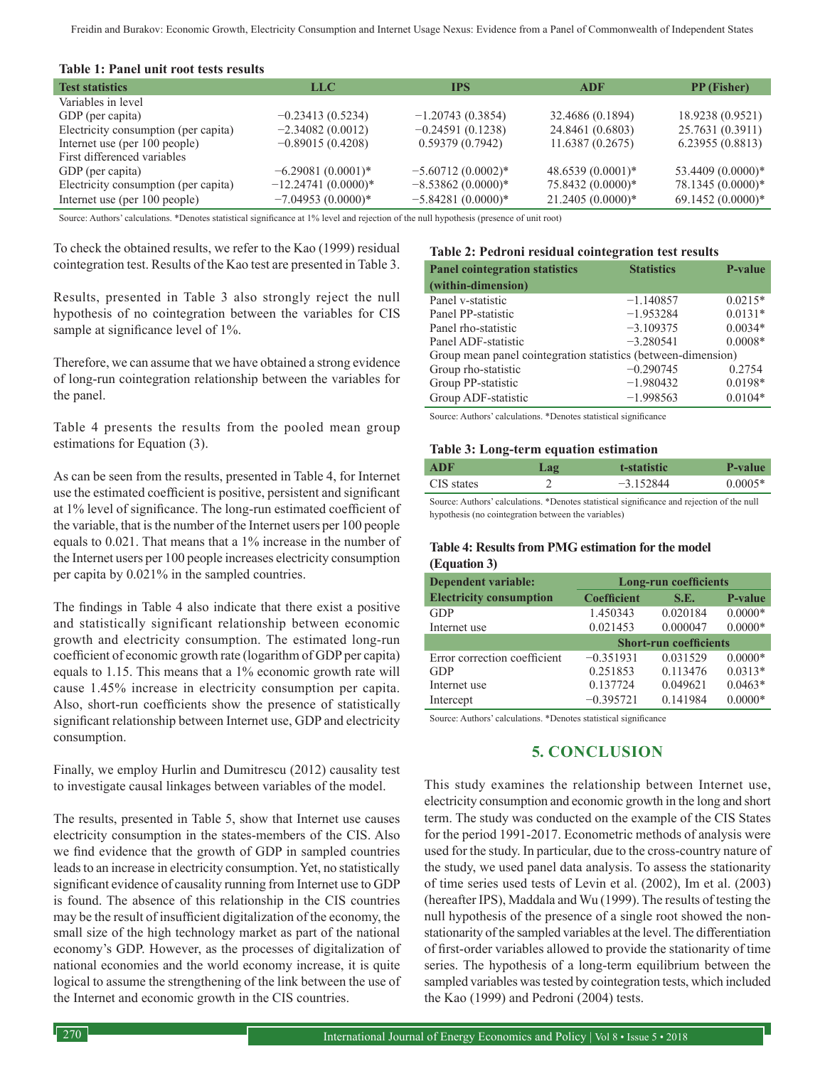| <b>Test statistics</b>               | LLC                  | <b>IPS</b>          | <b>ADF</b>         | PP (Fisher)        |
|--------------------------------------|----------------------|---------------------|--------------------|--------------------|
| Variables in level                   |                      |                     |                    |                    |
| GDP (per capita)                     | $-0.23413(0.5234)$   | $-1.20743(0.3854)$  | 32.4686 (0.1894)   | 18.9238 (0.9521)   |
| Electricity consumption (per capita) | $-2.34082(0.0012)$   | $-0.24591(0.1238)$  | 24.8461 (0.6803)   | 25.7631 (0.3911)   |
| Internet use (per 100 people)        | $-0.89015(0.4208)$   | 0.59379(0.7942)     | 11.6387(0.2675)    | 6.23955(0.8813)    |
| First differenced variables          |                      |                     |                    |                    |
| GDP (per capita)                     | $-6.29081(0.0001)*$  | $-5.60712(0.0002)*$ | $48.6539(0.0001)*$ | 53.4409 (0.0000)*  |
| Electricity consumption (per capita) | $-12.24741(0.0000)*$ | $-8.53862(0.0000)*$ | 75.8432 (0.0000)*  | 78.1345 (0.0000)*  |
| Internet use (per 100 people)        | $-7.04953(0.0000)*$  | $-5.84281(0.0000)*$ | $21.2405(0.0000)*$ | $69.1452(0.0000)*$ |

Source: Authors' calculations. \*Denotes statistical significance at 1% level and rejection of the null hypothesis (presence of unit root)

To check the obtained results, we refer to the Kao (1999) residual cointegration test. Results of the Kao test are presented in Table 3.

Results, presented in Table 3 also strongly reject the null hypothesis of no cointegration between the variables for CIS sample at significance level of 1%.

Therefore, we can assume that we have obtained a strong evidence of long-run cointegration relationship between the variables for the panel.

Table 4 presents the results from the pooled mean group estimations for Equation (3).

As can be seen from the results, presented in Table 4, for Internet use the estimated coefficient is positive, persistent and significant at 1% level of significance. The long-run estimated coefficient of the variable, that is the number of the Internet users per 100 people equals to 0.021. That means that a 1% increase in the number of the Internet users per 100 people increases electricity consumption per capita by 0.021% in the sampled countries.

The findings in Table 4 also indicate that there exist a positive and statistically significant relationship between economic growth and electricity consumption. The estimated long-run coefficient of economic growth rate (logarithm of GDP per capita) equals to 1.15. This means that a 1% economic growth rate will cause 1.45% increase in electricity consumption per capita. Also, short-run coefficients show the presence of statistically significant relationship between Internet use, GDP and electricity consumption.

Finally, we employ Hurlin and Dumitrescu (2012) causality test to investigate causal linkages between variables of the model.

The results, presented in Table 5, show that Internet use causes electricity consumption in the states-members of the CIS. Also we find evidence that the growth of GDP in sampled countries leads to an increase in electricity consumption. Yet, no statistically significant evidence of causality running from Internet use to GDP is found. The absence of this relationship in the CIS countries may be the result of insufficient digitalization of the economy, the small size of the high technology market as part of the national economy's GDP. However, as the processes of digitalization of national economies and the world economy increase, it is quite logical to assume the strengthening of the link between the use of the Internet and economic growth in the CIS countries.

#### **Table 2: Pedroni residual cointegration test results**

| <b>Panel cointegration statistics</b>                         | <b>Statistics</b> | <b>P-value</b> |  |  |
|---------------------------------------------------------------|-------------------|----------------|--|--|
| (within-dimension)                                            |                   |                |  |  |
| Panel v-statistic                                             | $-1.140857$       | $0.0215*$      |  |  |
| Panel PP-statistic                                            | $-1.953284$       | $0.0131*$      |  |  |
| Panel rho-statistic                                           | $-3.109375$       | $0.0034*$      |  |  |
| Panel ADF-statistic                                           | $-3.280541$       | $0.0008*$      |  |  |
| Group mean panel cointegration statistics (between-dimension) |                   |                |  |  |
| Group rho-statistic                                           | $-0.290745$       | 0.2754         |  |  |
| Group PP-statistic                                            | $-1.980432$       | 0.0198*        |  |  |
| Group ADF-statistic                                           | $-1.998563$       | $0.0104*$      |  |  |

Source: Authors' calculations. \*Denotes statistical significance

#### **Table 3: Long-term equation estimation**

| ADF        | Lag | t-statistic | <b>P-value</b> |
|------------|-----|-------------|----------------|
| CIS states |     | $-3.152844$ | $0.0005*$      |

Source: Authors' calculations. \*Denotes statistical significance and rejection of the null hypothesis (no cointegration between the variables)

#### **Table 4: Results from PMG estimation for the model (Equation 3)**

| <b>Dependent variable:</b>     | <b>Long-run coefficients</b> |                               |                |
|--------------------------------|------------------------------|-------------------------------|----------------|
| <b>Electricity consumption</b> | <b>Coefficient</b>           | <b>S.E.</b>                   | <b>P-value</b> |
| <b>GDP</b>                     | 1.450343                     | 0.020184                      | $0.0000*$      |
| Internet use                   | 0.021453                     | 0.000047                      | $0.0000*$      |
|                                |                              | <b>Short-run coefficients</b> |                |
| Error correction coefficient   | $-0.351931$                  | 0.031529                      | $0.0000*$      |
| <b>GDP</b>                     | 0.251853                     | 0.113476                      | $0.0313*$      |
| Internet use                   | 0.137724                     | 0.049621                      | $0.0463*$      |
| Intercept                      | $-0.395721$                  | 0.141984                      | $0.0000*$      |

Source: Authors' calculations. \*Denotes statistical significance

#### **5. CONCLUSION**

This study examines the relationship between Internet use, electricity consumption and economic growth in the long and short term. The study was conducted on the example of the CIS States for the period 1991-2017. Econometric methods of analysis were used for the study. In particular, due to the cross-country nature of the study, we used panel data analysis. To assess the stationarity of time series used tests of Levin et al. (2002), Im et al. (2003) (hereafter IPS), Maddala and Wu (1999). The results of testing the null hypothesis of the presence of a single root showed the nonstationarity of the sampled variables at the level. The differentiation of first-order variables allowed to provide the stationarity of time series. The hypothesis of a long-term equilibrium between the sampled variables was tested by cointegration tests, which included the Kao (1999) and Pedroni (2004) tests.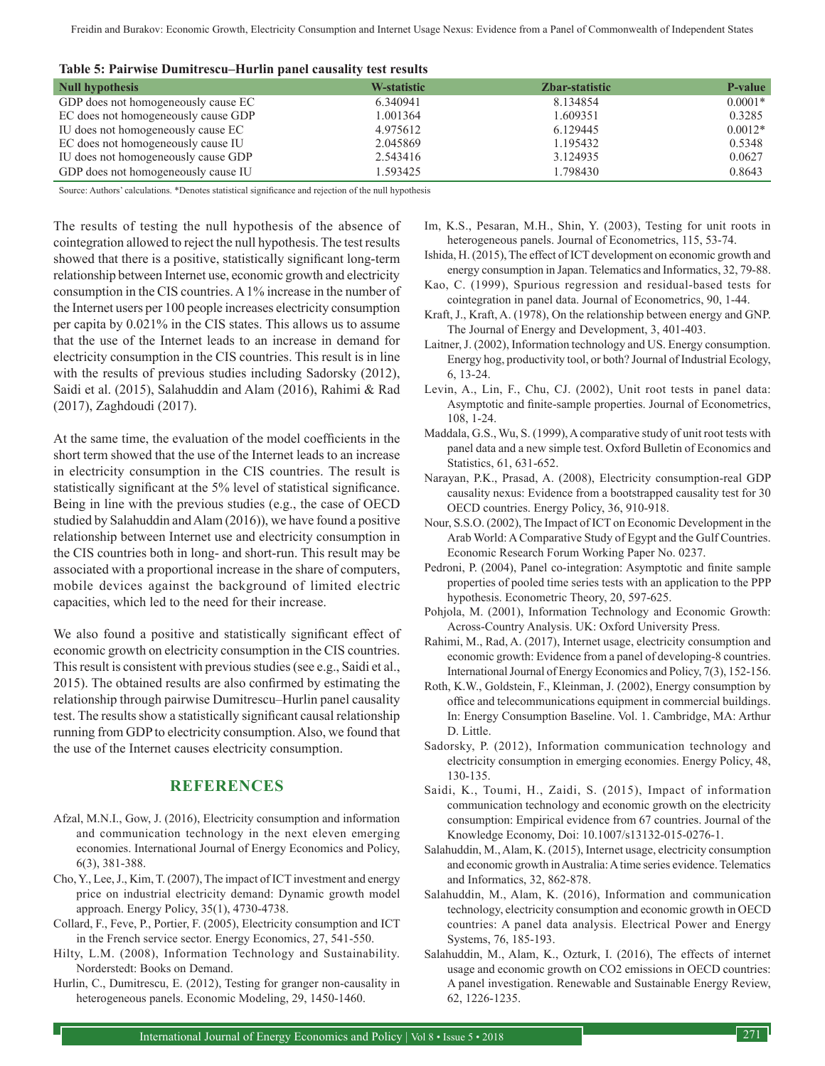| Table 5. I all wise Dunnerescu Trurini paliei causanty test results |             |                |                |  |  |
|---------------------------------------------------------------------|-------------|----------------|----------------|--|--|
| Null hypothesis                                                     | W-statistic | Zbar-statistic | <b>P-value</b> |  |  |
| GDP does not homogeneously cause EC                                 | 6.340941    | 8.134854       | $0.0001*$      |  |  |
| EC does not homogeneously cause GDP                                 | 1.001364    | 1.609351       | 0.3285         |  |  |
| IU does not homogeneously cause EC                                  | 4.975612    | 6.129445       | $0.0012*$      |  |  |
| EC does not homogeneously cause IU                                  | 2.045869    | 1.195432       | 0.5348         |  |  |
| IU does not homogeneously cause GDP                                 | 2.543416    | 3.124935       | 0.0627         |  |  |
| GDP does not homogeneously cause IU                                 | 1.593425    | .798430        | 0.8643         |  |  |

| Table 5: Pairwise Dumitrescu–Hurlin panel causality test results |  |  |  |  |
|------------------------------------------------------------------|--|--|--|--|
|------------------------------------------------------------------|--|--|--|--|

Source: Authors' calculations. \*Denotes statistical significance and rejection of the null hypothesis

The results of testing the null hypothesis of the absence of cointegration allowed to reject the null hypothesis. The test results showed that there is a positive, statistically significant long-term relationship between Internet use, economic growth and electricity consumption in the CIS countries. A1% increase in the number of the Internet users per 100 people increases electricity consumption per capita by 0.021% in the CIS states. This allows us to assume that the use of the Internet leads to an increase in demand for electricity consumption in the CIS countries. This result is in line with the results of previous studies including Sadorsky (2012), Saidi et al. (2015), Salahuddin and Alam (2016), Rahimi & Rad (2017), Zaghdoudi (2017).

At the same time, the evaluation of the model coefficients in the short term showed that the use of the Internet leads to an increase in electricity consumption in the CIS countries. The result is statistically significant at the 5% level of statistical significance. Being in line with the previous studies (e.g., the case of OECD studied by Salahuddin and Alam (2016)), we have found a positive relationship between Internet use and electricity consumption in the CIS countries both in long- and short-run. This result may be associated with a proportional increase in the share of computers, mobile devices against the background of limited electric capacities, which led to the need for their increase.

We also found a positive and statistically significant effect of economic growth on electricity consumption in the CIS countries. This result is consistent with previous studies (see e.g., Saidi et al., 2015). The obtained results are also confirmed by estimating the relationship through pairwise Dumitrescu–Hurlin panel causality test. The results show a statistically significant causal relationship running from GDP to electricity consumption. Also, we found that the use of the Internet causes electricity consumption.

### **REFERENCES**

- Afzal, M.N.I., Gow, J. (2016), Electricity consumption and information and communication technology in the next eleven emerging economies. International Journal of Energy Economics and Policy, 6(3), 381-388.
- Cho, Y., Lee, J., Kim, T. (2007), The impact of ICT investment and energy price on industrial electricity demand: Dynamic growth model approach. Energy Policy, 35(1), 4730-4738.
- Collard, F., Feve, P., Portier, F. (2005), Electricity consumption and ICT in the French service sector. Energy Economics, 27, 541-550.
- Hilty, L.M. (2008), Information Technology and Sustainability. Norderstedt: Books on Demand.
- Hurlin, C., Dumitrescu, E. (2012), Testing for granger non-causality in heterogeneous panels. Economic Modeling, 29, 1450-1460.
- Im, K.S., Pesaran, M.H., Shin, Y. (2003), Testing for unit roots in heterogeneous panels. Journal of Econometrics, 115, 53-74.
- Ishida, H. (2015), The effect of ICT development on economic growth and energy consumption in Japan. Telematics and Informatics, 32, 79-88.
- Kao, C. (1999), Spurious regression and residual-based tests for cointegration in panel data. Journal of Econometrics, 90, 1-44.
- Kraft, J., Kraft, A. (1978), On the relationship between energy and GNP. The Journal of Energy and Development, 3, 401-403.
- Laitner, J. (2002), Information technology and US. Energy consumption. Energy hog, productivity tool, or both? Journal of Industrial Ecology, 6, 13-24.
- Levin, A., Lin, F., Chu, CJ. (2002), Unit root tests in panel data: Asymptotic and finite-sample properties. Journal of Econometrics, 108, 1-24.
- Maddala, G.S., Wu, S. (1999), A comparative study of unit root tests with panel data and a new simple test. Oxford Bulletin of Economics and Statistics, 61, 631-652.
- Narayan, P.K., Prasad, A. (2008), Electricity consumption-real GDP causality nexus: Evidence from a bootstrapped causality test for 30 OECD countries. Energy Policy, 36, 910-918.
- Nour, S.S.O. (2002), The Impact of ICT on Economic Development in the Arab World: A Comparative Study of Egypt and the Gulf Countries. Economic Research Forum Working Paper No. 0237.
- Pedroni, P. (2004), Panel co-integration: Asymptotic and finite sample properties of pooled time series tests with an application to the PPP hypothesis. Econometric Theory, 20, 597-625.
- Pohjola, M. (2001), Information Technology and Economic Growth: Across-Country Analysis. UK: Oxford University Press.
- Rahimi, M., Rad, A. (2017), Internet usage, electricity consumption and economic growth: Evidence from a panel of developing-8 countries. International Journal of Energy Economics and Policy, 7(3), 152-156.
- Roth, K.W., Goldstein, F., Kleinman, J. (2002), Energy consumption by office and telecommunications equipment in commercial buildings. In: Energy Consumption Baseline. Vol. 1. Cambridge, MA: Arthur D. Little.
- Sadorsky, P. (2012), Information communication technology and electricity consumption in emerging economies. Energy Policy, 48, 130-135.
- Saidi, K., Toumi, H., Zaidi, S. (2015), Impact of information communication technology and economic growth on the electricity consumption: Empirical evidence from 67 countries. Journal of the Knowledge Economy, Doi: 10.1007/s13132-015-0276-1.
- Salahuddin, M., Alam, K. (2015), Internet usage, electricity consumption and economic growth in Australia: Atime series evidence. Telematics and Informatics, 32, 862-878.
- Salahuddin, M., Alam, K. (2016), Information and communication technology, electricity consumption and economic growth in OECD countries: A panel data analysis. Electrical Power and Energy Systems, 76, 185-193.
- Salahuddin, M., Alam, K., Ozturk, I. (2016), The effects of internet usage and economic growth on CO2 emissions in OECD countries: A panel investigation. Renewable and Sustainable Energy Review, 62, 1226-1235.